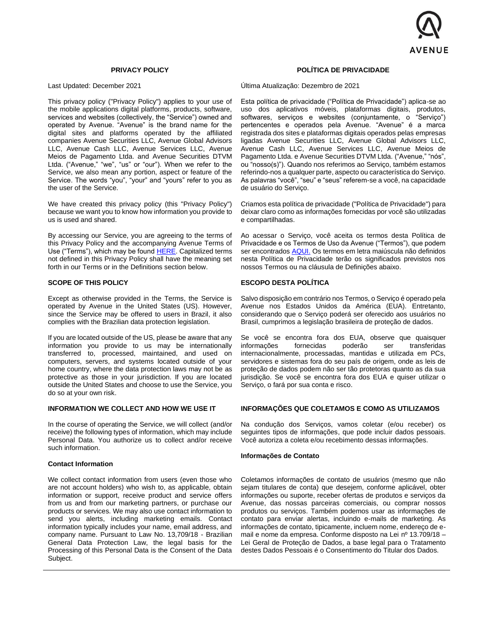

# **PRIVACY POLICY**

Last Updated: December 2021

This privacy policy ("Privacy Policy") applies to your use of the mobile applications digital platforms, products, software, services and websites (collectively, the "Service") owned and operated by Avenue. "Avenue" is the brand name for the digital sites and platforms operated by the affiliated companies Avenue Securities LLC, Avenue Global Advisors LLC, Avenue Cash LLC, Avenue Services LLC, Avenue Meios de Pagamento Ltda. and Avenue Securities DTVM Ltda. ("Avenue," "we", "us" or "our"). When we refer to the Service, we also mean any portion, aspect or feature of the Service. The words "you", "your" and "yours" refer to you as the user of the Service.

We have created this privacy policy (this "Privacy Policy") because we want you to know how information you provide to us is used and shared.

By accessing our Service, you are agreeing to the terms of this Privacy Policy and the accompanying Avenue Terms of Use ("Terms"), which may be found [HERE.](https://www.avenue.us/en/disclosures/) Capitalized terms not defined in this Privacy Policy shall have the meaning set forth in our Terms or in the Definitions section below.

### **SCOPE OF THIS POLICY**

Except as otherwise provided in the Terms, the Service is operated by Avenue in the United States (US). However, since the Service may be offered to users in Brazil, it also complies with the Brazilian data protection legislation.

If you are located outside of the US, please be aware that any information you provide to us may be internationally transferred to, processed, maintained, and used on computers, servers, and systems located outside of your home country, where the data protection laws may not be as protective as those in your jurisdiction. If you are located outside the United States and choose to use the Service, you do so at your own risk.

# **INFORMATION WE COLLECT AND HOW WE USE IT**

In the course of operating the Service, we will collect (and/or receive) the following types of information, which may include Personal Data. You authorize us to collect and/or receive such information.

### **Contact Information**

We collect contact information from users (even those who are not account holders) who wish to, as applicable, obtain information or support, receive product and service offers from us and from our marketing partners, or purchase our products or services. We may also use contact information to send you alerts, including marketing emails. Contact information typically includes your name, email address, and company name. Pursuant to Law No. 13,709/18 - Brazilian General Data Protection Law, the legal basis for the Processing of this Personal Data is the Consent of the Data Subject.

### **POLÍTICA DE PRIVACIDADE**

Última Atualização: Dezembro de 2021

Esta política de privacidade ("Política de Privacidade") aplica-se ao uso dos aplicativos móveis, plataformas digitais, produtos, softwares, serviços e websites (conjuntamente, o "Serviço") pertencentes e operados pela Avenue. "Avenue" é a marca registrada dos sites e plataformas digitais operados pelas empresas ligadas Avenue Securities LLC, Avenue Global Advisors LLC, Avenue Cash LLC, Avenue Services LLC, Avenue Meios de Pagamento Ltda. e Avenue Securities DTVM Ltda. ("Avenue," "nós", ou "nosso(s)"). Quando nos referimos ao Serviço, também estamos referindo-nos a qualquer parte, aspecto ou característica do Serviço. As palavras "você", "seu" e "seus" referem-se a você, na capacidade de usuário do Serviço.

Criamos esta política de privacidade ("Política de Privacidade") para deixar claro como as informações fornecidas por você são utilizadas e compartilhadas.

Ao acessar o Serviço, você aceita os termos desta Política de Privacidade e os Termos de Uso da Avenue ("Termos"), que podem ser encontrados [AQUI.](https://www.avenue.us/en/disclosures/) Os termos em letra maiúscula não definidos nesta Política de Privacidade terão os significados previstos nos nossos Termos ou na cláusula de Definições abaixo.

# **ESCOPO DESTA POLÍTICA**

Salvo disposição em contrário nos Termos, o Serviço é operado pela Avenue nos Estados Unidos da América (EUA). Entretanto, considerando que o Serviço poderá ser oferecido aos usuários no Brasil, cumprimos a legislação brasileira de proteção de dados.

Se você se encontra fora dos EUA, observe que quaisquer<br>informações bornecidas poderão ser transferidas ser transferidas internacionalmente, processadas, mantidas e utilizada em PCs, servidores e sistemas fora do seu país de origem, onde as leis de proteção de dados podem não ser tão protetoras quanto as da sua jurisdição. Se você se encontra fora dos EUA e quiser utilizar o Serviço, o fará por sua conta e risco.

# **INFORMAÇÕES QUE COLETAMOS E COMO AS UTILIZAMOS**

Na condução dos Serviços, vamos coletar (e/ou receber) os seguintes tipos de informações, que pode incluir dados pessoais. Você autoriza a coleta e/ou recebimento dessas informações.

### **Informações de Contato**

Coletamos informações de contato de usuários (mesmo que não sejam titulares de conta) que desejem, conforme aplicável, obter informações ou suporte, receber ofertas de produtos e serviços da Avenue, das nossas parceiras comerciais, ou comprar nossos produtos ou serviços. Também podemos usar as informações de contato para enviar alertas, incluindo e-mails de marketing. As informações de contato, tipicamente, incluem nome, endereço de email e nome da empresa. Conforme disposto na Lei nº 13.709/18 – Lei Geral de Proteção de Dados, a base legal para o Tratamento destes Dados Pessoais é o Consentimento do Titular dos Dados.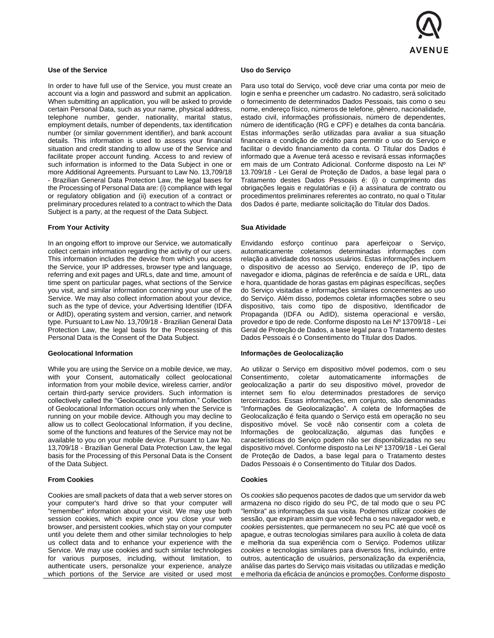

# **Use of the Service**

In order to have full use of the Service, you must create an account via a login and password and submit an application. When submitting an application, you will be asked to provide certain Personal Data, such as your name, physical address, telephone number, gender, nationality, marital status, employment details, number of dependents, tax identification number (or similar government identifier), and bank account details. This information is used to assess your financial situation and credit standing to allow use of the Service and facilitate proper account funding. Access to and review of such information is informed to the Data Subject in one or more Additional Agreements. Pursuant to Law No. 13,709/18 - Brazilian General Data Protection Law, the legal bases for the Processing of Personal Data are: (i) compliance with legal or regulatory obligation and (ii) execution of a contract or preliminary procedures related to a contract to which the Data Subject is a party, at the request of the Data Subject.

### **From Your Activity**

In an ongoing effort to improve our Service, we automatically collect certain information regarding the activity of our users. This information includes the device from which you access the Service, your IP addresses, browser type and language, referring and exit pages and URLs, date and time, amount of time spent on particular pages, what sections of the Service you visit, and similar information concerning your use of the Service. We may also collect information about your device, such as the type of device, your Advertising Identifier (IDFA or AdID), operating system and version, carrier, and network type. Pursuant to Law No. 13,709/18 - Brazilian General Data Protection Law, the legal basis for the Processing of this Personal Data is the Consent of the Data Subject.

### **Geolocational Information**

While you are using the Service on a mobile device, we may, with your Consent, automatically collect geolocational information from your mobile device, wireless carrier, and/or certain third-party service providers. Such information is collectively called the "Geolocational Information." Collection of Geolocational Information occurs only when the Service is running on your mobile device. Although you may decline to allow us to collect Geolocational Information, if you decline, some of the functions and features of the Service may not be available to you on your mobile device. Pursuant to Law No. 13,709/18 - Brazilian General Data Protection Law, the legal basis for the Processing of this Personal Data is the Consent of the Data Subject.

#### **From Cookies**

Cookies are small packets of data that a web server stores on your computer's hard drive so that your computer will "remember" information about your visit. We may use both session cookies, which expire once you close your web browser, and persistent cookies, which stay on your computer until you delete them and other similar technologies to help us collect data and to enhance your experience with the Service. We may use cookies and such similar technologies for various purposes, including, without limitation, to authenticate users, personalize your experience, analyze which portions of the Service are visited or used most

## **Uso do Serviço**

Para uso total do Serviço, você deve criar uma conta por meio de login e senha e preencher um cadastro. No cadastro, será solicitado o fornecimento de determinados Dados Pessoais, tais como o seu nome, endereço físico, números de telefone, gênero, nacionalidade, estado civil, informações profissionais, número de dependentes, número de identificação (RG e CPF) e detalhes da conta bancária. Estas informações serão utilizadas para avaliar a sua situação financeira e condição de crédito para permitir o uso do Serviço e facilitar o devido financiamento da conta. O Titular dos Dados é informado que a Avenue terá acesso e revisará essas informações em mais de um Contrato Adicional. Conforme disposto na Lei Nº 13.709/18 - Lei Geral de Proteção de Dados, a base legal para o Tratamento destes Dados Pessoais é: (i) o cumprimento das obrigações legais e regulatórias e (ii) a assinatura de contrato ou procedimentos preliminares referentes ao contrato, no qual o Titular dos Dados é parte, mediante solicitação do Titular dos Dados.

#### **Sua Atividade**

Envidando esforço contínuo para aperfeiçoar o Serviço, automaticamente coletamos determinadas informações com relação a atividade dos nossos usuários. Estas informações incluem o dispositivo de acesso ao Serviço, endereço de IP, tipo de navegador e idioma, páginas de referência e de saída e URL, data e hora, quantidade de horas gastas em páginas específicas, seções do Serviço visitadas e informações similares concernentes ao uso do Serviço. Além disso, podemos coletar informações sobre o seu dispositivo, tais como tipo de dispositivo, Identificador de Propaganda (IDFA ou AdID), sistema operacional e versão, provedor e tipo de rede. Conforme disposto na Lei Nº 13709/18 - Lei Geral de Proteção de Dados, a base legal para o Tratamento destes Dados Pessoais é o Consentimento do Titular dos Dados.

### **Informações de Geolocalização**

Ao utilizar o Serviço em dispositivo móvel podemos, com o seu Consentimento, coletar automaticamente informações de geolocalização a partir do seu dispositivo móvel, provedor de internet sem fio e/ou determinados prestadores de serviço terceirizados. Essas informações, em conjunto, são denominadas "Informações de Geolocalização". A coleta de Informações de Geolocalização é feita quando o Serviço está em operação no seu dispositivo móvel. Se você não consentir com a coleta de Informações de geolocalização, algumas das funções e características do Serviço podem não ser disponibilizadas no seu dispositivo móvel. Conforme disposto na Lei Nº 13709/18 - Lei Geral de Proteção de Dados, a base legal para o Tratamento destes Dados Pessoais é o Consentimento do Titular dos Dados.

# **Cookies**

Os *cookies* são pequenos pacotes de dados que um servidor da web armazena no disco rígido do seu PC, de tal modo que o seu PC "lembra" as informações da sua visita. Podemos utilizar *cookies* de sessão, que expiram assim que você fecha o seu navegador web, e *cookies* persistentes, que permanecem no seu PC até que você os apague, e outras tecnologias similares para auxílio à coleta de data e melhoria da sua experiência com o Serviço. Podemos utilizar *cookies* e tecnologias similares para diversos fins, incluindo, entre outros, autenticação de usuários, personalização da experiência, análise das partes do Serviço mais visitadas ou utilizadas e medição e melhoria da eficácia de anúncios e promoções. Conforme disposto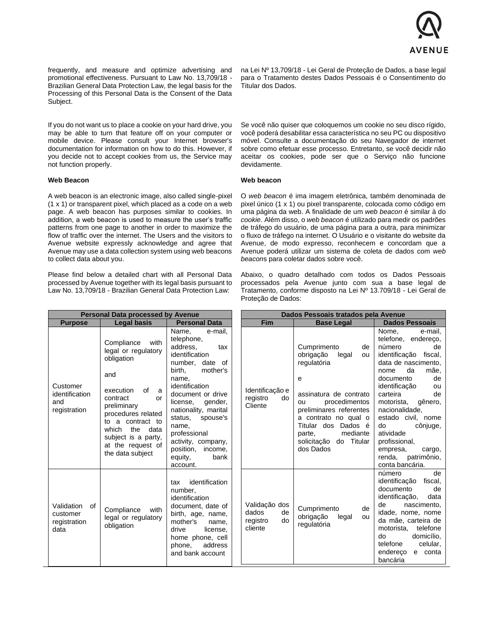

frequently, and measure and optimize advertising and promotional effectiveness. Pursuant to Law No. 13,709/18 - Brazilian General Data Protection Law, the legal basis for the Processing of this Personal Data is the Consent of the Data Subject.

If you do not want us to place a cookie on your hard drive, you may be able to turn that feature off on your computer or mobile device. Please consult your Internet browser's documentation for information on how to do this. However, if you decide not to accept cookies from us, the Service may not function properly.

#### **Web Beacon**

A web beacon is an electronic image, also called single-pixel (1 x 1) or transparent pixel, which placed as a code on a web page. A web beacon has purposes similar to cookies. In addition, a web beacon is used to measure the user's traffic patterns from one page to another in order to maximize the flow of traffic over the internet. The Users and the visitors to Avenue website expressly acknowledge and agree that Avenue may use a data collection system using web beacons to collect data about you.

Please find below a detailed chart with all Personal Data processed by Avenue together with its legal basis pursuant to Law No. 13,709/18 - Brazilian General Data Protection Law:

na Lei Nº 13,709/18 - Lei Geral de Proteção de Dados, a base legal para o Tratamento destes Dados Pessoais é o Consentimento do Titular dos Dados.

Se você não quiser que coloquemos um cookie no seu disco rígido, você poderá desabilitar essa característica no seu PC ou dispositivo móvel. Consulte a documentação do seu Navegador de internet sobre como efetuar esse processo. Entretanto, se você decidir não aceitar os cookies, pode ser que o Serviço não funcione devidamente.

#### **Web beacon**

O *web beacon* é ima imagem eletrônica, também denominada de pixel único (1 x 1) ou pixel transparente, colocada como código em uma página da web. A finalidade de um *web beacon* é similar à do *cookie*. Além disso, o *web beacon* é utilizado para medir os padrões de tráfego do usuário, de uma página para a outra, para minimizar o fluxo de tráfego na internet. O Usuário e o visitante do website da Avenue, de modo expresso, reconhecem e concordam que a Avenue poderá utilizar um sistema de coleta de dados com *web beacon*s para coletar dados sobre você.

Abaixo, o quadro detalhado com todos os Dados Pessoais processados pela Avenue junto com sua a base legal de Tratamento, conforme disposto na Lei Nº 13.709/18 - Lei Geral de Proteção de Dados:

| <b>Personal Data processed by Avenue</b>             |                                                                                                                                                                                                                                                           |                                                                                                                                                                                                                                                                                                                                       | Dados Pessoais tratados pela Avenue                       |                                                                                                                                                                                                                                                              |                                                                                                                                                                                                                                                                                                                                                                                 |
|------------------------------------------------------|-----------------------------------------------------------------------------------------------------------------------------------------------------------------------------------------------------------------------------------------------------------|---------------------------------------------------------------------------------------------------------------------------------------------------------------------------------------------------------------------------------------------------------------------------------------------------------------------------------------|-----------------------------------------------------------|--------------------------------------------------------------------------------------------------------------------------------------------------------------------------------------------------------------------------------------------------------------|---------------------------------------------------------------------------------------------------------------------------------------------------------------------------------------------------------------------------------------------------------------------------------------------------------------------------------------------------------------------------------|
| <b>Purpose</b>                                       | <b>Legal basis</b>                                                                                                                                                                                                                                        | <b>Personal Data</b>                                                                                                                                                                                                                                                                                                                  | <b>Fim</b>                                                | <b>Base Legal</b>                                                                                                                                                                                                                                            | <b>Dados Pessoais</b>                                                                                                                                                                                                                                                                                                                                                           |
| Customer<br>identification<br>and<br>registration    | Compliance<br>with<br>legal or regulatory<br>obligation<br>and<br>execution<br>of<br>a<br>contract<br>or<br>preliminary<br>procedures related<br>to a contract to<br>which<br>the<br>data<br>subject is a party,<br>at the request of<br>the data subject | Name,<br>e-mail.<br>telephone,<br>address.<br>tax<br>identification<br>number, date of<br>mother's<br>birth,<br>name.<br>identification<br>document or drive<br>license.<br>gender,<br>nationality, marital<br>status,<br>spouse's<br>name.<br>professional<br>activity, company,<br>position, income,<br>equity,<br>bank<br>account. | Identificação e<br>registro<br>do<br>Cliente              | Cumprimento<br>de<br>obrigação<br>legal<br>ou<br>regulatória<br>e<br>assinatura de contrato<br>procedimentos<br>ou<br>preliminares referentes<br>a contrato no qual o<br>Titular dos Dados é<br>mediante<br>parte,<br>Titular<br>solicitação do<br>dos Dados | Nome.<br>e-mail.<br>telefone, endereço,<br>número<br>de<br>identificação<br>fiscal,<br>data de nascimento,<br>da<br>nome<br>mãe,<br>documento<br>de<br>identificação<br>ou<br>carteira<br>de<br>gênero,<br>motorista,<br>nacionalidade,<br>estado civil, nome<br>do<br>cônjuge,<br>atividade<br>profissional,<br>empresa,<br>cargo,<br>renda,<br>patrimônio,<br>conta bancária. |
| Validation<br>of<br>customer<br>registration<br>data | Compliance<br>with<br>legal or regulatory<br>obligation                                                                                                                                                                                                   | identification<br>tax<br>number.<br>identification<br>document, date of<br>birth, age, name,<br>mother's<br>name,<br>drive<br>license,<br>home phone, cell<br>address<br>phone,<br>and bank account                                                                                                                                   | Validação dos<br>dados<br>de<br>registro<br>do<br>cliente | Cumprimento<br>de<br>obrigação<br>legal<br>ou<br>regulatória                                                                                                                                                                                                 | número<br>de<br>identificação<br>fiscal,<br>documento<br>de<br>identificação,<br>data<br>de<br>nascimento,<br>idade, nome, nome<br>da mãe, carteira de<br>telefone<br>motorista,<br>do<br>domicílio.<br>telefone<br>celular,<br>endereco<br>e conta<br>bancária                                                                                                                 |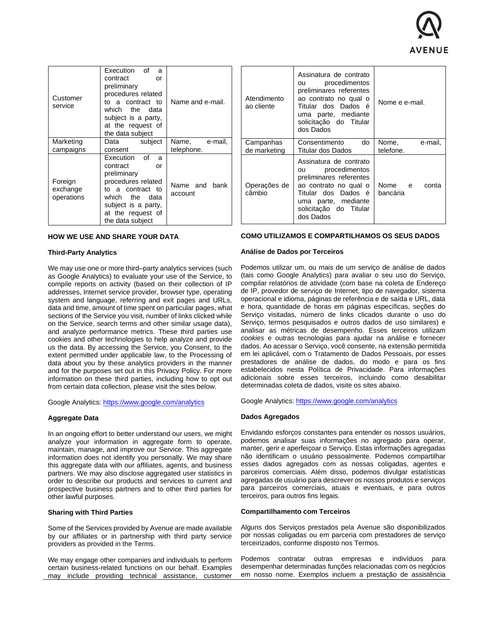

| Customer<br>service               | Execution of<br>a<br>contract<br>or<br>preliminary<br>procedures related<br>to a contract to<br>which the data<br>subject is a party,<br>at the request of<br>the data subject      | Name and e-mail.            |
|-----------------------------------|-------------------------------------------------------------------------------------------------------------------------------------------------------------------------------------|-----------------------------|
| Marketing<br>campaigns            | subject<br>Data<br>consent                                                                                                                                                          | Name, e-mail,<br>telephone. |
| Foreign<br>exchange<br>operations | Execution<br>് റf<br>a<br>contract<br>or<br>preliminary<br>procedures related<br>to a contract to<br>which the data<br>subject is a party,<br>at the request of<br>the data subject | Name and bank<br>account    |

| Atendimento<br>ao cliente | procedimentos<br>ou<br>preliminares referentes<br>ao contrato no qual o<br>Titular dos Dados é<br>uma parte, mediante<br>solicitação do Titular<br>dos Dados                                   | Nome e e-mail.                |
|---------------------------|------------------------------------------------------------------------------------------------------------------------------------------------------------------------------------------------|-------------------------------|
| Campanhas<br>de marketing | Consentimento<br>do<br>Titular dos Dados                                                                                                                                                       | e-mail,<br>Nome.<br>telefone. |
| Operações de<br>câmbio    | Assinatura de contrato<br>ou procedimentos<br>preliminares referentes<br>ao contrato no qual o<br>Titular dos Dados é I bancária<br>uma parte, mediante<br>solicitação do Titular<br>dos Dados | Nome e<br>conta               |

Assinatura de contrato

# **HOW WE USE AND SHARE YOUR DATA**

#### **Third-Party Analytics**

We may use one or more third–party analytics services (such as Google Analytics) to evaluate your use of the Service, to compile reports on activity (based on their collection of IP addresses, Internet service provider, browser type, operating system and language, referring and exit pages and URLs, data and time, amount of time spent on particular pages, what sections of the Service you visit, number of links clicked while on the Service, search terms and other similar usage data), and analyze performance metrics. These third parties use cookies and other technologies to help analyze and provide us the data. By accessing the Service, you Consent, to the extent permitted under applicable law, to the Processing of data about you by these analytics providers in the manner and for the purposes set out in this Privacy Policy. For more information on these third parties, including how to opt out from certain data collection, please visit the sites below.

Google Analytics:<https://www.google.com/analytics>

#### **Aggregate Data**

In an ongoing effort to better understand our users, we might analyze your information in aggregate form to operate, maintain, manage, and improve our Service. This aggregate information does not identify you personally. We may share this aggregate data with our affiliates, agents, and business partners. We may also disclose aggregated user statistics in order to describe our products and services to current and prospective business partners and to other third parties for other lawful purposes.

#### **Sharing with Third Parties**

Some of the Services provided by Avenue are made available by our affiliates or in partnership with third party service providers as provided in the Terms.

We may engage other companies and individuals to perform certain business-related functions on our behalf. Examples may include providing technical assistance, customer

### **COMO UTILIZAMOS E COMPARTILHAMOS OS SEUS DADOS**

# **Análise de Dados por Terceiros**

Podemos utilizar um, ou mais de um serviço de análise de dados (tais como Google Analytics) para avaliar o seu uso do Serviço, compilar relatórios de atividade (com base na coleta de Endereço de IP, provedor de serviço de Internet, tipo de navegador, sistema operacional e idioma, páginas de referência e de saída e URL, data e hora, quantidade de horas em páginas específicas, seções do Serviço visitadas, número de links clicados durante o uso do Serviço, termos pesquisados e outros dados de uso similares) e analisar as métricas de desempenho. Esses terceiros utilizam *cookies* e outras tecnologias para ajudar na análise e fornecer dados. Ao acessar o Serviço, você consente, na extensão permitida em lei aplicável, com o Tratamento de Dados Pessoais, por esses prestadores de análise de dados, do modo e para os fins estabelecidos nesta Política de Privacidade. Para informações adicionais sobre esses terceiros, incluindo como desabilitar determinadas coleta de dados, visite os sites abaixo.

Google Analytics:<https://www.google.com/analytics>

#### **Dados Agregados**

Envidando esforços constantes para entender os nossos usuários, podemos analisar suas informações no agregado para operar, manter, gerir e aperfeiçoar o Serviço. Estas informações agregadas não identificam o usuário pessoalmente. Podemos compartilhar esses dados agregados com as nossas coligadas, agentes e parceiros comerciais. Além disso, podemos divulgar estatísticas agregadas de usuário para descrever os nossos produtos e serviços para parceiros comerciais, atuais e eventuais, e para outros terceiros, para outros fins legais.

#### **Compartilhamento com Terceiros**

Alguns dos Serviços prestados pela Avenue são disponibilizados por nossas coligadas ou em parceria com prestadores de serviço terceirizados, conforme disposto nos Termos.

Podemos contratar outras empresas e indivíduos para desempenhar determinadas funções relacionadas com os negócios em nosso nome. Exemplos incluem a prestação de assistência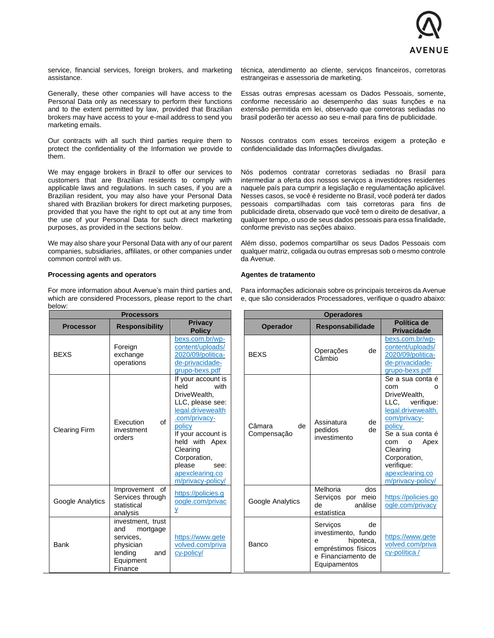

service, financial services, foreign brokers, and marketing assistance.

Generally, these other companies will have access to the Personal Data only as necessary to perform their functions and to the extent permitted by law, provided that Brazilian brokers may have access to your e-mail address to send you marketing emails.

Our contracts with all such third parties require them to protect the confidentiality of the Information we provide to them.

We may engage brokers in Brazil to offer our services to customers that are Brazilian residents to comply with applicable laws and regulations. In such cases, if you are a Brazilian resident, you may also have your Personal Data shared with Brazilian brokers for direct marketing purposes, provided that you have the right to opt out at any time from the use of your Personal Data for such direct marketing purposes, as provided in the sections below.

We may also share your Personal Data with any of our parent companies, subsidiaries, affiliates, or other companies under common control with us.

# **Processing agents and operators**

For more information about Avenue's main third parties and, which are considered Processors, please report to the chart below:

**Processors Processor Responsibility Privacy Policy** BEXS Foreign exchange operations [bexs.com.br/wp](https://www.bexs.com.br/wp-content/uploads/2020/09/politica-de-privacidade-grupo-bexs.pdf)[content/uploads/](https://www.bexs.com.br/wp-content/uploads/2020/09/politica-de-privacidade-grupo-bexs.pdf) [2020/09/politica](https://www.bexs.com.br/wp-content/uploads/2020/09/politica-de-privacidade-grupo-bexs.pdf)[de-privacidade](https://www.bexs.com.br/wp-content/uploads/2020/09/politica-de-privacidade-grupo-bexs.pdf)[grupo-bexs.pdf](https://www.bexs.com.br/wp-content/uploads/2020/09/politica-de-privacidade-grupo-bexs.pdf) Clearing Firm Execution of investment orders If your account is held with DriveWealth, LLC, please see: [legal.drivewealth](https://legal.drivewealth.com/privacy-policy) [.com/privacy](https://legal.drivewealth.com/privacy-policy)[policy](https://legal.drivewealth.com/privacy-policy) If your account is held with Apex Clearing Corporation, please see: [apexclearing.co](https://www.apexclearing.com/privacy-policy/) [m/privacy-policy/](https://www.apexclearing.com/privacy-policy/) Google Analytics Improvement of Services through statistical analysis [https://policies.g](https://policies.google.com/privacy) [oogle.com/privac](https://policies.google.com/privacy) [y](https://policies.google.com/privacy) Bank investment, trust and mortgage services, physician lending and Equipment **Finance** [https://www.gete](https://www.getevolved.com/privacy-policy/) [volved.com/priva](https://www.getevolved.com/privacy-policy/) [cy-policy/](https://www.getevolved.com/privacy-policy/)

técnica, atendimento ao cliente, serviços financeiros, corretoras estrangeiras e assessoria de marketing.

Essas outras empresas acessam os Dados Pessoais, somente, conforme necessário ao desempenho das suas funções e na extensão permitida em lei, observado que corretoras sediadas no brasil poderão ter acesso ao seu e-mail para fins de publicidade.

Nossos contratos com esses terceiros exigem a proteção e confidencialidade das Informações divulgadas.

Nós podemos contratar corretoras sediadas no Brasil para intermediar a oferta dos nossos serviços a investidores residentes naquele país para cumprir a legislação e regulamentação aplicável. Nesses casos, se você é residente no Brasil, você poderá ter dados pessoais compartilhadas com tais corretoras para fins de publicidade direta, observado que você tem o direito de desativar, a qualquer tempo, o uso de seus dados pessoais para essa finalidade, conforme previsto nas seções abaixo.

Além disso, podemos compartilhar os seus Dados Pessoais com qualquer matriz, coligada ou outras empresas sob o mesmo controle da Avenue.

#### **Agentes de tratamento**

Para informações adicionais sobre os principais terceiros da Avenue e, que são considerados Processadores, verifique o quadro abaixo:

| <b>Operadores</b>           |                                                                                                                      |                                                                                                                                                                                                                                        |  |
|-----------------------------|----------------------------------------------------------------------------------------------------------------------|----------------------------------------------------------------------------------------------------------------------------------------------------------------------------------------------------------------------------------------|--|
| <b>Operador</b>             | <b>Responsabilidade</b>                                                                                              | Política de<br><b>Privacidade</b>                                                                                                                                                                                                      |  |
| <b>BEXS</b>                 | de<br>Operações<br>Câmbio                                                                                            | bexs.com.br/wp-<br>content/uploads/<br>2020/09/politica-<br>de-privacidade-<br>grupo-bexs.pdf                                                                                                                                          |  |
| Câmara<br>de<br>Compensação | de<br>Assinatura<br>de<br>pedidos<br>investimento                                                                    | Se a sua conta é<br>com<br>O<br>DriveWealth.<br>LLC, verifique:<br>legal.drivewealth.<br>com/privacy-<br>policy<br>Se a sua conta é<br>Apex<br>com o<br>Clearing<br>Corporation,<br>verifique:<br>apexclearing.co<br>m/privacy-policy/ |  |
| Google Analytics            | Melhoria<br>dos<br>Serviços por meio<br>análise<br>de<br>estatística                                                 | https://policies.go<br>ogle.com/privacy                                                                                                                                                                                                |  |
| Banco                       | Serviços<br>de<br>investimento, fundo<br>hipoteca,<br>e<br>empréstimos físicos<br>e Financiamento de<br>Equipamentos | https://www.gete<br>volved.com/priva<br>cy-política /                                                                                                                                                                                  |  |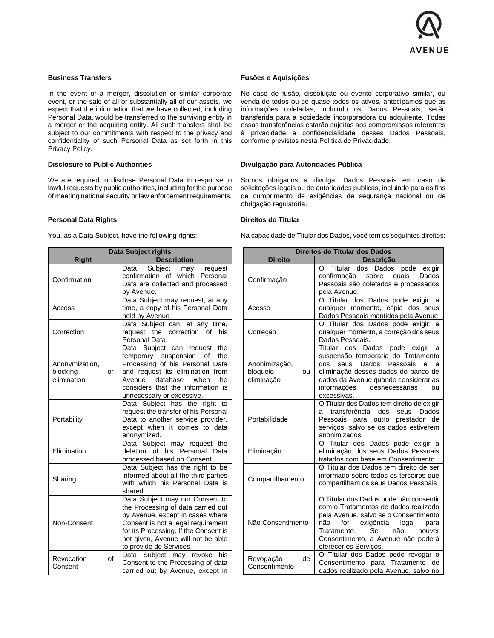

# **Business Transfers**

In the event of a merger, dissolution or similar corporate event, or the sale of all or substantially all of our assets, we expect that the information that we have collected, including Personal Data, would be transferred to the surviving entity in a merger or the acquiring entity. All such transfers shall be subject to our commitments with respect to the privacy and confidentiality of such Personal Data as set forth in this Privacy Policy.

#### **Disclosure to Public Authorities**

We are required to disclose Personal Data in response to lawful requests by public authorities, including for the purpose of meeting national security or law enforcement requirements.

### **Personal Data Rights**

You, as a Data Subject, have the following rights:

| Data Subject rights                             |                                                                                                                                                                                                                                                          |  |
|-------------------------------------------------|----------------------------------------------------------------------------------------------------------------------------------------------------------------------------------------------------------------------------------------------------------|--|
| <b>Right</b>                                    | <b>Description</b>                                                                                                                                                                                                                                       |  |
| Confirmation                                    | Data Subject may request<br>confirmation of<br>which Personal<br>Data are collected and processed<br>by Avenue.                                                                                                                                          |  |
| Access                                          | Data Subject may request, at any<br>time, a copy of his Personal Data<br>held by Avenue                                                                                                                                                                  |  |
| Correction                                      | Data Subject can, at any time,<br>request the correction of<br>his<br>Personal Data.                                                                                                                                                                     |  |
| Anonymization,<br>blocking<br>or<br>elimination | Data Subject can request the<br>temporary suspension<br>of the<br>Processing of his Personal Data<br>and request its elimination from<br>database<br>Avenue<br>when<br>he<br>considers that the information is<br>unnecessary or excessive.              |  |
| Portability                                     | Data Subject has the right to<br>request the transfer of his Personal<br>Data to another service provider,<br>except when it comes to data<br>anonymized.                                                                                                |  |
| Elimination                                     | Data Subject may request the<br>deletion of his Personal Data<br>processed based on Consent.                                                                                                                                                             |  |
| Sharing                                         | Data Subject has the right to be<br>informed about all the third parties<br>with which his Personal Data is<br>shared.                                                                                                                                   |  |
| Non-Consent                                     | Data Subject may not Consent to<br>the Processing of data carried out<br>by Avenue, except in cases where<br>Consent is not a legal requirement<br>for its Processing. If the Consent is<br>not given, Avenue will not be able<br>to provide de Services |  |
| Revocation<br>οf<br>Consent                     | Subject may revoke<br>Data<br>his<br>Consent to the Processing of data<br>carried out by Avenue, except in                                                                                                                                               |  |

### **Fusões e Aquisições**

No caso de fusão, dissolução ou evento corporativo similar, ou venda de todos ou de quase todos os ativos, antecipamos que as informações coletadas, incluindo os Dados Pessoais, serão transferida para a sociedade incorporadora ou adquirente. Todas essas transferências estarão sujeitas aos compromissos referentes à privacidade e confidencialidade desses Dados Pessoais, conforme previstos nesta Política de Privacidade.

# **Divulgação para Autoridades Pública**

Somos obrigados a divulgar Dados Pessoais em caso de solicitações legais ou de autoridades públicas, incluindo para os fins de cumprimento de exigências de segurança nacional ou de obrigação regulatória.

# **Direitos do Titular**

Na capacidade de Titular dos Dados, você tem os seguintes direitos:

| <b>Direitos do Titular dos Dados</b>          |                                                                                                                                                                                                                                                                                 |  |  |
|-----------------------------------------------|---------------------------------------------------------------------------------------------------------------------------------------------------------------------------------------------------------------------------------------------------------------------------------|--|--|
| <b>Direito</b>                                | <b>Descricão</b>                                                                                                                                                                                                                                                                |  |  |
| Confirmação                                   | Titular dos Dados<br>pode<br>O<br>exigir<br>sobre<br>quais<br>Dados<br>confirmação<br>Pessoais são coletados e processados<br>pela Avenue.                                                                                                                                      |  |  |
| Acesso                                        | O Titular dos Dados pode exigir, a<br>qualquer momento, cópia dos seus<br>Dados Pessoais mantidos pela Avenue                                                                                                                                                                   |  |  |
| Correção                                      | O Titular dos Dados pode exigir, a<br>qualquer momento, a correção dos seus<br>Dados Pessoais.                                                                                                                                                                                  |  |  |
| Anonimização,<br>bloqueio<br>ou<br>eliminação | Titular dos<br>Dados<br>pode exigir<br>a<br>suspensão temporária do Tratamento<br>Dados Pessoais<br>dos<br>seus<br>e<br>a<br>eliminação desses dados do banco de<br>dados da Avenue quando considerar as<br>desnecessárias<br>informações<br>ou<br>excessivas.                  |  |  |
| Portabilidade                                 | O Titular dos Dados tem direito de exigir<br>transferência dos<br>Dados<br>seus<br>a<br>para outro prestador de<br>Pessoais<br>serviços, salvo se os dados estiverem<br>anonimizados                                                                                            |  |  |
| Eliminação                                    | O Titular dos Dados pode exigir a<br>eliminação dos seus Dados Pessoais<br>tratados com base em Consentimento.                                                                                                                                                                  |  |  |
| Compartilhamento                              | O Titular dos Dados tem direito de ser<br>informado sobre todos os terceiros que<br>compartilham os seus Dados Pessoais                                                                                                                                                         |  |  |
| Não Consentimento                             | O Titular dos Dados pode não consentir<br>com o Tratamentos de dados realizado<br>pela Avenue, salvo se o Consentimento<br>não<br>exigência<br>for<br>legal<br>para<br><b>Se</b><br>não<br>Tratamento.<br>houver<br>Consentimento, a Avenue não poderá<br>oferecer os Serviços. |  |  |
| Revogação<br>de<br>Consentimento              | O Titular dos Dados pode revogar o<br>Consentimento para Tratamento<br>de<br>dados realizado pela Avenue, salvo no                                                                                                                                                              |  |  |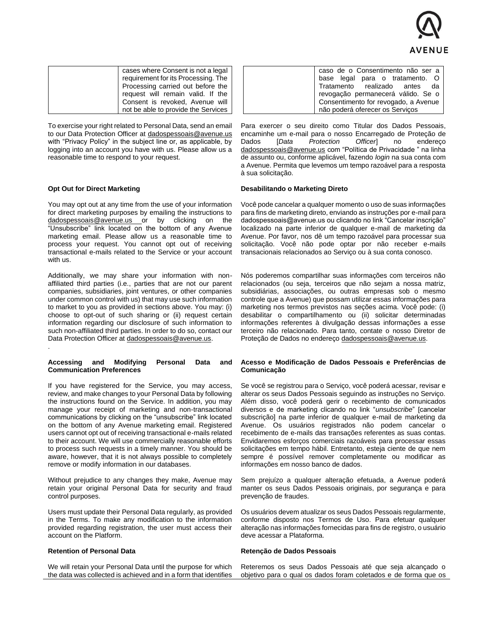

| cases where Consent is not a legal<br>requirement for its Processing. The<br>Processing carried out before the<br>request will remain valid. If the<br>Consent is revoked, Avenue will |  |
|----------------------------------------------------------------------------------------------------------------------------------------------------------------------------------------|--|
| not be able to provide the Services                                                                                                                                                    |  |

To exercise your right related to Personal Data, send an email to our Data Protection Officer at dadospessoais@avenue.us with "Privacy Policy" in the subject line or, as applicable, by logging into an account you have with us. Please allow us a reasonable time to respond to your request.

# **Opt Out for Direct Marketing**

.

You may opt out at any time from the use of your information for direct marketing purposes by emailing the instructions to [dadospessoais@avenue.us](mailto:dadospessoais@avenue.us) or by clicking on the "Unsubscribe" link located on the bottom of any Avenue marketing email. Please allow us a reasonable time to process your request. You cannot opt out of receiving transactional e-mails related to the Service or your account with us.

Additionally, we may share your information with nonaffiliated third parties (i.e., parties that are not our parent companies, subsidiaries, joint ventures, or other companies under common control with us) that may use such information to market to you as provided in sections above. You may: (i) choose to opt-out of such sharing or (ii) request certain information regarding our disclosure of such information to such non-affiliated third parties. In order to do so, contact our Data Protection Officer at [dadospessoais@avenue.us.](mailto:dadospessoais@avenue.us)

# **Accessing and Modifying Personal Data and Communication Preferences**

If you have registered for the Service, you may access, review, and make changes to your Personal Data by following the instructions found on the Service. In addition, you may manage your receipt of marketing and non-transactional communications by clicking on the "unsubscribe" link located on the bottom of any Avenue marketing email. Registered users cannot opt out of receiving transactional e-mails related to their account. We will use commercially reasonable efforts to process such requests in a timely manner. You should be aware, however, that it is not always possible to completely remove or modify information in our databases.

Without prejudice to any changes they make, Avenue may retain your original Personal Data for security and fraud control purposes.

Users must update their Personal Data regularly, as provided in the Terms. To make any modification to the information provided regarding registration, the user must access their account on the Platform.

### **Retention of Personal Data**

We will retain your Personal Data until the purpose for which the data was collected is achieved and in a form that identifies

| caso de o Consentimento não ser a    |
|--------------------------------------|
| base legal para o tratamento. O      |
| Tratamento realizado antes da        |
| revogação permanecerá válido. Se o   |
| Consentimento for revogado, a Avenue |
| não poderá oferecer os Serviços      |

Para exercer o seu direito como Titular dos Dados Pessoais, encaminhe um e-mail para o nosso Encarregado de Proteção de Dados [*Data Protection Officer*] no endereço [dadospessoais@avenue.us](mailto:dadospessoais@avenue.us) com "Política de Privacidade " na linha de assunto ou, conforme aplicável, fazendo *login* na sua conta com a Avenue. Permita que levemos um tempo razoável para a resposta à sua solicitação.

# **Desabilitando o Marketing Direto**

Você pode cancelar a qualquer momento o uso de suas informações para fins de marketing direto, enviando as instruções por e-mail para dadospessoais@avenue.us ou clicando no link "Cancelar inscrição" localizado na parte inferior de qualquer e-mail de marketing da Avenue. Por favor, nos dê um tempo razoável para processar sua solicitação. Você não pode optar por não receber e-mails transacionais relacionados ao Serviço ou à sua conta conosco.

Nós poderemos compartilhar suas informações com terceiros não relacionados (ou seja, terceiros que não sejam a nossa matriz, subsidiárias, associações, ou outras empresas sob o mesmo controle que a Avenue) que possam utilizar essas informações para marketing nos termos previstos nas seções acima. Você pode: (i) desabilitar o compartilhamento ou (ii) solicitar determinadas informações referentes à divulgação dessas informações a esse terceiro não relacionado. Para tanto, contate o nosso Diretor de Proteção de Dados no endereço [dadospessoais@avenue.us.](mailto:dadospessoais@avenue.us)

#### **Acesso e Modificação de Dados Pessoais e Preferências de Comunicação**

Se você se registrou para o Serviço, você poderá acessar, revisar e alterar os seus Dados Pessoais seguindo as instruções no Serviço. Além disso, você poderá gerir o recebimento de comunicados diversos e de marketing clicando no link "*unsubscribe*" [cancelar subscrição] na parte inferior de qualquer e-mail de marketing da Avenue. Os usuários registrados não podem cancelar o recebimento de e-mails das transações referentes as suas contas. Envidaremos esforços comerciais razoáveis para processar essas solicitações em tempo hábil. Entretanto, esteja ciente de que nem sempre é possível remover completamente ou modificar as informações em nosso banco de dados.

Sem prejuízo a qualquer alteração efetuada, a Avenue poderá manter os seus Dados Pessoais originais, por segurança e para prevenção de fraudes.

Os usuários devem atualizar os seus Dados Pessoais regularmente, conforme disposto nos Termos de Uso. Para efetuar qualquer alteração nas informações fornecidas para fins de registro, o usuário deve acessar a Plataforma.

#### **Retenção de Dados Pessoais**

Reteremos os seus Dados Pessoais até que seja alcançado o objetivo para o qual os dados foram coletados e de forma que os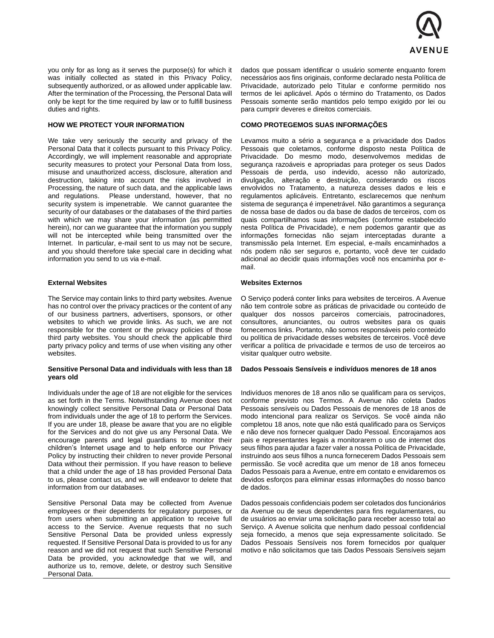

you only for as long as it serves the purpose(s) for which it was initially collected as stated in this Privacy Policy, subsequently authorized, or as allowed under applicable law. After the termination of the Processing, the Personal Data will only be kept for the time required by law or to fulfill business duties and rights.

# **HOW WE PROTECT YOUR INFORMATION**

We take very seriously the security and privacy of the Personal Data that it collects pursuant to this Privacy Policy. Accordingly, we will implement reasonable and appropriate security measures to protect your Personal Data from loss, misuse and unauthorized access, disclosure, alteration and destruction, taking into account the risks involved in Processing, the nature of such data, and the applicable laws and regulations. Please understand, however, that no security system is impenetrable. We cannot guarantee the security of our databases or the databases of the third parties with which we may share your information (as permitted herein), nor can we guarantee that the information you supply will not be intercepted while being transmitted over the Internet. In particular, e-mail sent to us may not be secure, and you should therefore take special care in deciding what information you send to us via e-mail.

# **External Websites**

The Service may contain links to third party websites. Avenue has no control over the privacy practices or the content of any of our business partners, advertisers, sponsors, or other websites to which we provide links. As such, we are not responsible for the content or the privacy policies of those third party websites. You should check the applicable third party privacy policy and terms of use when visiting any other websites.

### **Sensitive Personal Data and individuals with less than 18 years old**

Individuals under the age of 18 are not eligible for the services as set forth in the Terms. Notwithstanding Avenue does not knowingly collect sensitive Personal Data or Personal Data from individuals under the age of 18 to perform the Services. If you are under 18, please be aware that you are no eligible for the Services and do not give us any Personal Data. We encourage parents and legal guardians to monitor their children's Internet usage and to help enforce our Privacy Policy by instructing their children to never provide Personal Data without their permission. If you have reason to believe that a child under the age of 18 has provided Personal Data to us, please contact us, and we will endeavor to delete that information from our databases.

Sensitive Personal Data may be collected from Avenue employees or their dependents for regulatory purposes, or from users when submitting an application to receive full access to the Service. Avenue requests that no such Sensitive Personal Data be provided unless expressly requested. If Sensitive Personal Data is provided to us for any reason and we did not request that such Sensitive Personal Data be provided, you acknowledge that we will, and authorize us to, remove, delete, or destroy such Sensitive Personal Data.

dados que possam identificar o usuário somente enquanto forem necessários aos fins originais, conforme declarado nesta Política de Privacidade, autorizado pelo Titular e conforme permitido nos termos de lei aplicável. Após o término do Tratamento, os Dados Pessoais somente serão mantidos pelo tempo exigido por lei ou para cumprir deveres e direitos comerciais.

# **COMO PROTEGEMOS SUAS INFORMAÇÕES**

Levamos muito a sério a segurança e a privacidade dos Dados Pessoais que coletamos, conforme disposto nesta Política de Privacidade. Do mesmo modo, desenvolvemos medidas de segurança razoáveis e apropriadas para proteger os seus Dados Pessoais de perda, uso indevido, acesso não autorizado, divulgação, alteração e destruição, considerando os riscos envolvidos no Tratamento, a natureza desses dados e leis e regulamentos aplicáveis. Entretanto, esclarecemos que nenhum sistema de segurança é impenetrável. Não garantimos a segurança de nossa base de dados ou da base de dados de terceiros, com os quais compartilhamos suas informações (conforme estabelecido nesta Política de Privacidade), e nem podemos garantir que as informações fornecidas não sejam interceptadas durante a transmissão pela Internet. Em especial, e-mails encaminhados a nós podem não ser seguros e, portanto, você deve ter cuidado adicional ao decidir quais informações você nos encaminha por email.

# **Websites Externos**

O Serviço poderá conter links para websites de terceiros. A Avenue não tem controle sobre as práticas de privacidade ou conteúdo de qualquer dos nossos parceiros comerciais, patrocinadores, consultores, anunciantes, ou outros websites para os quais fornecemos links. Portanto, não somos responsáveis pelo conteúdo ou política de privacidade desses websites de terceiros. Você deve verificar a política de privacidade e termos de uso de terceiros ao visitar qualquer outro website.

#### **Dados Pessoais Sensíveis e indivíduos menores de 18 anos**

Indivíduos menores de 18 anos não se qualificam para os serviços, conforme previsto nos Termos. A Avenue não coleta Dados Pessoais sensíveis ou Dados Pessoais de menores de 18 anos de modo intencional para realizar os Serviços. Se você ainda não completou 18 anos, note que não está qualificado para os Serviços e não deve nos fornecer qualquer Dado Pessoal. Encorajamos aos pais e representantes legais a monitorarem o uso de internet dos seus filhos para ajudar a fazer valer a nossa Política de Privacidade, instruindo aos seus filhos a nunca fornecerem Dados Pessoais sem permissão. Se você acredita que um menor de 18 anos forneceu Dados Pessoais para a Avenue, entre em contato e envidaremos os devidos esforços para eliminar essas informações do nosso banco de dados.

Dados pessoais confidenciais podem ser coletados dos funcionários da Avenue ou de seus dependentes para fins regulamentares, ou de usuários ao enviar uma solicitação para receber acesso total ao Serviço. A Avenue solicita que nenhum dado pessoal confidencial seja fornecido, a menos que seja expressamente solicitado. Se Dados Pessoais Sensíveis nos forem fornecidos por qualquer motivo e não solicitamos que tais Dados Pessoais Sensíveis sejam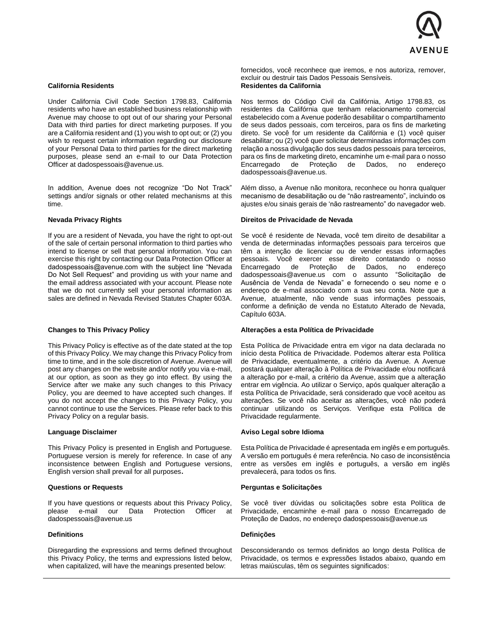

### **California Residents**

Under California Civil Code Section 1798.83, California residents who have an established business relationship with Avenue may choose to opt out of our sharing your Personal Data with third parties for direct marketing purposes. If you are a California resident and (1) you wish to opt out; or (2) you wish to request certain information regarding our disclosure of your Personal Data to third parties for the direct marketing purposes, please send an e-mail to our Data Protection Officer at dadospessoais@avenue.us.

In addition, Avenue does not recognize "Do Not Track" settings and/or signals or other related mechanisms at this time.

### **Nevada Privacy Rights**

If you are a resident of Nevada, you have the right to opt-out of the sale of certain personal information to third parties who intend to license or sell that personal information. You can exercise this right by contacting our Data Protection Officer at dadospessoais@avenue.com with the subject line "Nevada Do Not Sell Request" and providing us with your name and the email address associated with your account. Please note that we do not currently sell your personal information as sales are defined in Nevada Revised Statutes Chapter 603A.

#### **Changes to This Privacy Policy**

This Privacy Policy is effective as of the date stated at the top of this Privacy Policy. We may change this Privacy Policy from time to time, and in the sole discretion of Avenue. Avenue will post any changes on the website and/or notify you via e-mail, at our option, as soon as they go into effect. By using the Service after we make any such changes to this Privacy Policy, you are deemed to have accepted such changes. If you do not accept the changes to this Privacy Policy, you cannot continue to use the Services. Please refer back to this Privacy Policy on a regular basis.

# **Language Disclaimer**

This Privacy Policy is presented in English and Portuguese. Portuguese version is merely for reference. In case of any inconsistence between English and Portuguese versions, English version shall prevail for all purposes**.**

#### **Questions or Requests**

If you have questions or requests about this Privacy Policy, please e-mail our Data Protection Officer at dadospessoais@avenue.us

# **Definitions**

Disregarding the expressions and terms defined throughout this Privacy Policy, the terms and expressions listed below, when capitalized, will have the meanings presented below:

fornecidos, você reconhece que iremos, e nos autoriza, remover, excluir ou destruir tais Dados Pessoais Sensíveis. **Residentes da California**

Nos termos do Código Civil da Califórnia, Artigo 1798.83, os residentes da Califórnia que tenham relacionamento comercial estabelecido com a Avenue poderão desabilitar o compartilhamento de seus dados pessoais, com terceiros, para os fins de marketing direto. Se você for um residente da Califórnia e (1) você quiser desabilitar; ou (2) você quer solicitar determinadas informações com relação a nossa divulgação dos seus dados pessoais para terceiros, para os fins de marketing direto, encaminhe um e-mail para o nosso Encarregado de Proteção de Dados, no endereço dadospessoais@avenue.us.

Além disso, a Avenue não monitora, reconhece ou honra qualquer mecanismo de desabilitação ou de "não rastreamento", incluindo os ajustes e/ou sinais gerais de 'não rastreamento" do navegador web.

#### **Direitos de Privacidade de Nevada**

Se você é residente de Nevada, você tem direito de desabilitar a venda de determinadas informações pessoais para terceiros que têm a intenção de licenciar ou de vender essas informações pessoais. Você exercer esse direito contatando o nosso Encarregado de Proteção de Dados, no endereço [dadospessoais@avenue.us](mailto:dadospessoais@avenue.us) com o assunto "Solicitação de Ausência de Venda de Nevada" e fornecendo o seu nome e o endereço de e-mail associado com a sua seu conta. Note que a Avenue, atualmente, não vende suas informações pessoais, conforme a definição de venda no Estatuto Alterado de Nevada, Capítulo 603A.

#### **Alterações a esta Política de Privacidade**

Esta Política de Privacidade entra em vigor na data declarada no início desta Política de Privacidade. Podemos alterar esta Política de Privacidade, eventualmente, a critério da Avenue. A Avenue postará qualquer alteração à Política de Privacidade e/ou notificará a alteração por e-mail, a critério da Avenue, assim que a alteração entrar em vigência. Ao utilizar o Serviço, após qualquer alteração a esta Política de Privacidade, será considerado que você aceitou as alterações. Se você não aceitar as alterações, você não poderá continuar utilizando os Serviços. Verifique esta Política de Privacidade regularmente.

#### **Aviso Legal sobre Idioma**

Esta Política de Privacidade é apresentada em inglês e em português. A versão em português é mera referência. No caso de inconsistência entre as versões em inglês e português, a versão em inglês prevalecerá, para todos os fins.

# **Perguntas e Solicitações**

Se você tiver dúvidas ou solicitações sobre esta Política de Privacidade, encaminhe e-mail para o nosso Encarregado de Proteção de Dados, no endereço dadospessoais@avenue.us

#### **Definições**

Desconsiderando os termos definidos ao longo desta Política de Privacidade, os termos e expressões listados abaixo, quando em letras maiúsculas, têm os seguintes significados: